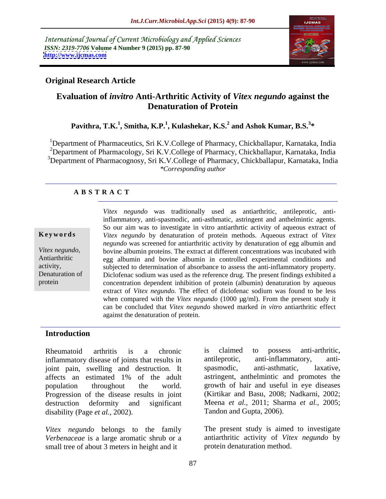International Journal of Current Microbiology and Applied Sciences *ISSN: 2319-7706* **Volume 4 Number 9 (2015) pp. 87-90 <http://www.ijcmas.com>**



## **Original Research Article**

## **Evaluation of** *invitro* **Anti-Arthritic Activity of** *Vitex negundo* **against the Denaturation of Protein**

### **Pavithra, T.K.<sup>1</sup> , Smitha, K.P.<sup>1</sup> , Kulashekar, K.S.<sup>2</sup> and Ashok Kumar, B.S.<sup>3</sup> \***

<sup>1</sup>Department of Pharmaceutics, Sri K.V.College of Pharmacy, Chickballapur, Karnataka, India <sup>2</sup>Department of Pharmacology, Sri K.V.College of Pharmacy, Chickballapur, Karnataka, India <sup>3</sup>Department of Pharmacognosy, Sri K.V.College of Pharmacy, Chickballapur, Karnataka, India *\*Corresponding author*

## **A B S T R A C T**

protein

*Vitex negundo* was traditionally used as antiarthritic, antileprotic, antiinflammatory, anti-spasmodic, anti-asthmatic, astringent and anthelmintic agents. So our aim was to investigate in vitro antiarthrtic activity of aqueous extract of **Keywords** *Vitex negundo* by denaturation of protein methods. Aqueous extract of *Vitex negundo* was screened for antiarthritic activity by denaturation of egg albumin and bovine albumin proteins. The extract at different concentrations was incubated with *Vitex negundo,* egg albumin and bovine albumin in controlled experimental conditions and Antiarthritic activity, subjected to determination of absorbance to assess the anti-inflammatory property. Denaturation of Diclofenac sodium was used as the reference drug. The present findings exhibited a concentration dependent inhibition of protein (albumin) denaturation by aqueous extract of *Vitex negundo.* The effect of diclofenac sodium was found to be less when compared with the *Vitex negundo* (1000 µg/ml). From the present study it can be concluded that *Vitex negundo* showed marked *in vitro* antiarthritic effect against the denaturation of protein.

## **Introduction**

Rheumatoid arthritis is a chronic is claimed to possess anti-arthritic, inflammatory disease of joints that results in antileprotic, anti-inflammatory, anti-<br>ioint pain, swelling and destruction. It spassmodic, anti-asthmatic, laxative, joint pain, swelling and destruction. It spasmodic, anti-asthmatic, laxative, affects an estimated 1% of the adult population throughout the world. growth of hair and useful in eye diseases Progression of the disease results in joint destruction deformity and significant Meena *et al.,* 2011; Sharma *et al.,* 2005; disability (Page *et al.,* 2002).

*Vitex negundo* belongs to the family *Verbenaceae* is a large aromatic shrub or a small tree of about 3 meters in height and it

is claimed to possess anti-arthritic, antileprotic, anti-inflammatory, anti spasmodic, anti-asthmatic, laxative, astringent, anthelmintic and promotes the (Kirtikar and Basu, 2008; Nadkarni, 2002; Tandon and Gupta, 2006).

The present study is aimed to investigate antiarthritic activity of *Vitex negundo* by protein denaturation method.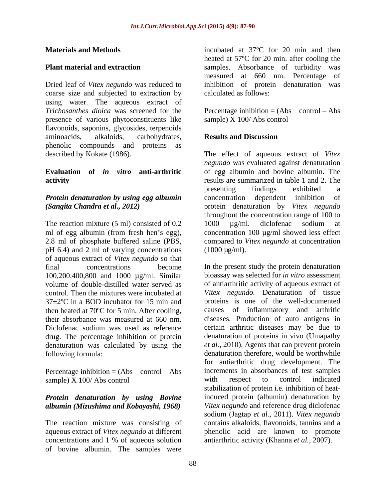Dried leaf of *Vitex negundo* was reduced to coarse size and subjected to extraction by using water. The aqueous extract of *Trichosanthes dioica* was screened for the Percentage inhibition = (Abs control – Abs presence of various phytoconstituents like sample) X 100/ Abs control flavonoids, saponins, glycosides, terpenoids aminoacids, alkaloids, carbohydrates, phenolic compounds and proteins as

# *Protein denaturation by using egg albumin* concentration dependent inhibition of

The reaction mixture (5 ml) consisted of  $0.2$  1000  $\mu$ g/ml. diclofenac sodium at pH 6.4) and 2 ml of varying concentrations of aqueous extract of *Vitex negundo* so that 100,200,400,800 and 1000 µg/ml. Similar volume of double-distilled water served as 37±2ºC in a BOD incubator for 15 min and then heated at 70°C for 5 min. After cooling, their absorbance was measured at 660 nm. drug. The percentage inhibition of protein denaturation was calculated by using the

Percentage inhibition  $=$  (Abs control  $-$  Abs

## *Protein denaturation by using Bovine albumin (Mizushima and Kobayashi, 1968)*

The reaction mixture was consisting of aqueous extract of *Vitex negundo* at different concentrations and 1 % of aqueous solution of bovine albumin. The samples were

**Materials and Methods** incubated at 37ºC for 20 min and then **Plant material and extraction** samples. Absorbance of turbidity was heated at 57ºC for 20 min. after cooling the measured at 660 nm. Percentage of inhibition of protein denaturation was calculated as follows:

sample) X 100/ Abs control

## **Results and Discussion**

described by Kokate (1986). The effect of aqueous extract of *Vitex*  **Evaluation of** *in vitro* **anti-arthritic**  of egg albumin and bovine albumin. The **activity** results are summarized in table 1 and 2. The *(Sangita Chandra et al., 2012)* protein denaturation by *Vitex negundo* ml of egg albumin (from fresh hen's egg), concentration 100 µg/ml showed less effect 2.8 ml of phosphate buffered saline (PBS, compared to *Vitex negundo* at concentration *negundo* was evaluated against denaturation presenting findings exhibited a concentration dependent inhibition throughout the concentration range of 100 to 1000 µg/ml. diclofenac sodium at  $(1000 \mu g/ml)$ .

final concentrations become In the present study the protein denaturation control. Then the mixtures were incubated at *Vitex negundo.* Denaturation of tissue their absorbance was measured at 660 nm. diseases. Production of auto antigens in Diclofenac sodium was used as reference certain arthritic diseases may be due to following formula: denaturation therefore, would be worthwhile sample) X 100/ Abs control to with respect to control indicated bioassay was selected for *in vitro* assessment of antiarthritic activity of aqueous extract of proteins is one of the well-documented causes of inflammatory and arthritic certain arthritic diseases may be due to denaturation of proteins in vivo (Umapathy *et al.,* 2010). Agents that can prevent protein for antiarthritic drug development. The increments in absorbances of test samples with respect to control indicated stabilization of protein i.e. inhibition of heatinduced protein (albumin) denaturation by *Vitex negundo* and reference drug diclofenac sodium (Jagtap *et al.,* 2011). *Vitex negundo* containsalkaloids, flavonoids, tannins and a phenolic acid are known to promote antiarthritic activity (Khanna *et al.,* 2007).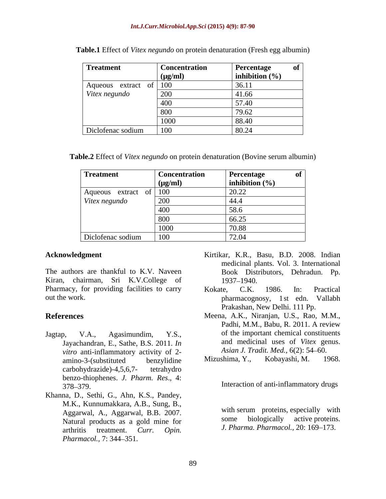| <b>Treatment</b>  | <b>Concentration</b> | Percentage<br>ot       |
|-------------------|----------------------|------------------------|
|                   | $(\mu g/ml)$         | inhibition $(\%)$      |
| Aqueous extract   | of $\vert$ 100       | 36.11                  |
| Vitex negundo     | 200                  | 11.66<br>71.UU         |
|                   | AC<br>4VV            | 57 $40$<br>$\cup$ . To |
|                   | 800                  | 79.62                  |
|                   | 1000                 | 88.40                  |
| Diclofenac sodium | 100                  | 80.24                  |

| <b>1</b> Effect of <i>Vitex negundo</i> on protein<br>Table.1<br>่า denaturation<br>(Fresh<br>. albumin) |  |
|----------------------------------------------------------------------------------------------------------|--|
|                                                                                                          |  |

**Table.2** Effect of *Vitex negundo* on protein denaturation (Bovine serum albumin)

| <b>Treatment</b>       | <b>Concentration</b><br>$(\mu g/ml)$ | <b>Percentage</b><br>inhibition $(\% )$ | - of |
|------------------------|--------------------------------------|-----------------------------------------|------|
| Aqueous extract of 100 |                                      | 20.22<br>ZU.ZZ                          |      |
| Vitex negundo          | $\Omega$<br><b>ZUU</b>               | 44.4                                    |      |
|                        |                                      | 58.6                                    |      |
|                        |                                      | 66.25<br>$UU \cdot \mathcal{L}U$        |      |
|                        | <b>1000</b>                          | 70.88                                   |      |
| Diclofenac sodium      | 100                                  | 72.04                                   |      |

Kiran, chairman, Sri K.V.College of 1937–1940. Pharmacy, for providing facilities to carry  $\qquad$  Kokate, C.K. 1986. In: Practical

- Jayachandran, E., Sathe, B.S. 2011. *In vitro* anti-inflammatory activity of 2-<br>amino-3-(substituted benzylidine Mizushima, Y., Kobayashi, M. 1968. amino-3-(substituted benzylidine Mizushima, Y., Kobayashi, M. 1968. carbohydrazide)-4,5,6,7- tetrahydro benzo-thiophenes. *J. Pharm. Res*., 4: 378 379. Interaction of anti inflammatory drugs
- Khanna, D., Sethi, G., Ahn, K.S., Pandey, M.K., Kunnumakkara, A.B., Sung, B., Aggarwal, A., Aggarwal, B.B. 2007. With serum proteins, especially with<br>Notivel products as a sold mine for some biologically active proteins. Natural products as a gold mine for arthritis treatment. *Curr. Opin. Pharmacol.,* 7: 344 351.
- **Acknowledgment** Kirtikar, K.R., Basu, B.D. 2008. Indian The authors are thankful to K.V. Naveen Book Distributors, Dehradun. Pp. medicinal plants. Vol. 3. International 1937–1940.
- out the work. pharmacognosy, 1st edn. Vallabh Kokate, C.K. 1986. In: Practical Prakashan, New Delhi. 111 Pp.
- **References** Meena, A.K., Niranjan, U.S., Rao, M.M., Jagtap, V.A., Agasimundim, Y.S., of the important chemical constituents Padhi, M.M., Babu, R. 2011. A review and medicinal uses of *Vitex* genus. *Asian J. Tradit. Med.,* 6(2): 54–60.
	- Mizushima, Y., Kobayashi, M. 1968.

with serum proteins, especially with some biologically active proteins. *J. Pharma. Pharmacol.,* 20: 169 173.